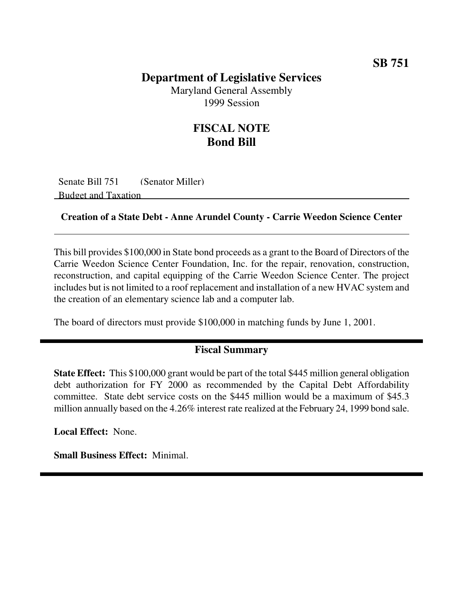## **Department of Legislative Services**

Maryland General Assembly 1999 Session

## **FISCAL NOTE Bond Bill**

Senate Bill 751 (Senator Miller) Budget and Taxation

#### **Creation of a State Debt - Anne Arundel County - Carrie Weedon Science Center**

This bill provides \$100,000 in State bond proceeds as a grant to the Board of Directors of the Carrie Weedon Science Center Foundation, Inc. for the repair, renovation, construction, reconstruction, and capital equipping of the Carrie Weedon Science Center. The project includes but is not limited to a roof replacement and installation of a new HVAC system and the creation of an elementary science lab and a computer lab.

The board of directors must provide \$100,000 in matching funds by June 1, 2001.

### **Fiscal Summary**

**State Effect:** This \$100,000 grant would be part of the total \$445 million general obligation debt authorization for FY 2000 as recommended by the Capital Debt Affordability committee. State debt service costs on the \$445 million would be a maximum of \$45.3 million annually based on the 4.26% interest rate realized at the February 24, 1999 bond sale.

**Local Effect:** None.

**Small Business Effect:** Minimal.